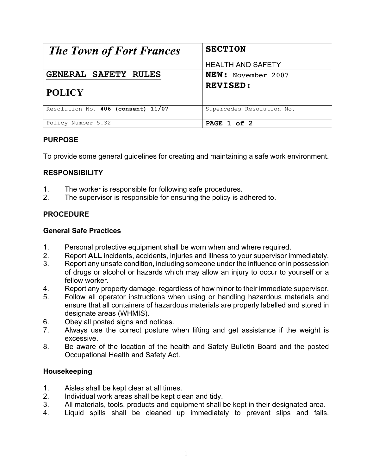| <b>The Town of Fort Frances</b>    | <b>SECTION</b>            |
|------------------------------------|---------------------------|
|                                    | <b>HEALTH AND SAFETY</b>  |
| <b>GENERAL SAFETY RULES</b>        | <b>NEW:</b> November 2007 |
| <b>POLICY</b>                      | <b>REVISED:</b>           |
| Resolution No. 406 (consent) 11/07 | Supercedes Resolution No. |
| Policy Number 5.32                 | PAGE 1 of 2               |

# **PURPOSE**

To provide some general guidelines for creating and maintaining a safe work environment.

### **RESPONSIBILITY**

- 1. The worker is responsible for following safe procedures.
- 2. The supervisor is responsible for ensuring the policy is adhered to.

# **PROCEDURE**

#### **General Safe Practices**

- 1. Personal protective equipment shall be worn when and where required.
- 2. Report **ALL** incidents, accidents, injuries and illness to your supervisor immediately.
- 3. Report any unsafe condition, including someone under the influence or in possession of drugs or alcohol or hazards which may allow an injury to occur to yourself or a fellow worker.
- 4. Report any property damage, regardless of how minor to their immediate supervisor.
- 5. Follow all operator instructions when using or handling hazardous materials and ensure that all containers of hazardous materials are properly labelled and stored in designate areas (WHMIS).
- 6. Obey all posted signs and notices.
- 7. Always use the correct posture when lifting and get assistance if the weight is excessive.
- 8. Be aware of the location of the health and Safety Bulletin Board and the posted Occupational Health and Safety Act.

#### **Housekeeping**

- 1. Aisles shall be kept clear at all times.<br>2. Individual work areas shall be kept cle
- Individual work areas shall be kept clean and tidy.
- 3. All materials, tools, products and equipment shall be kept in their designated area.
- 4. Liquid spills shall be cleaned up immediately to prevent slips and falls.